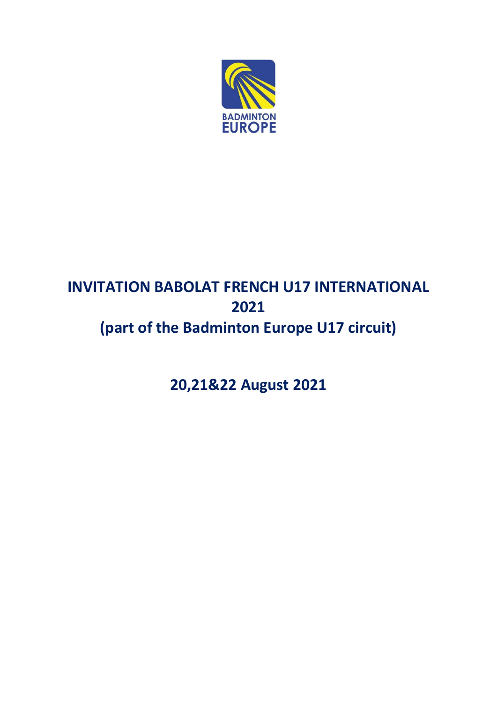

# **INVITATION BABOLAT FRENCH U17 INTERNATIONAL 2021 (part of the Badminton Europe U17 circuit)**

**20,21&22 August 2021**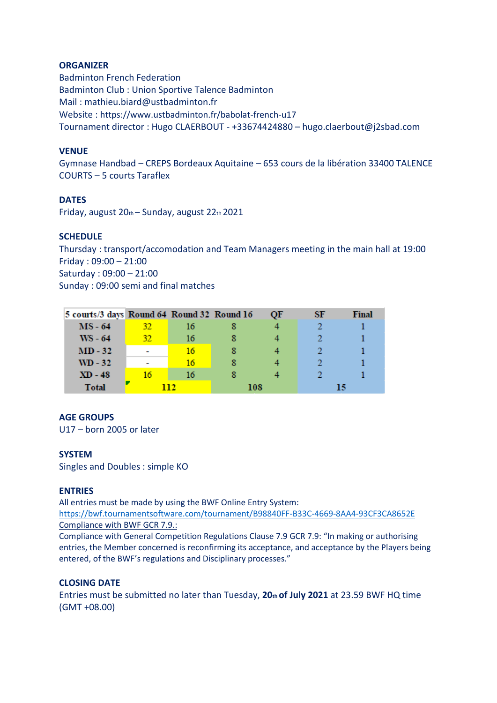# **ORGANIZER**

Badminton French Federation Badminton Club : Union Sportive Talence Badminton Mail : mathieu.biard@ustbadminton.fr Website : https://www.ustbadminton.fr/babolat-french-u17 Tournament director : Hugo CLAERBOUT - +33674424880 – hugo.claerbout@j2sbad.com

# **VENUE**

Gymnase Handbad – CREPS Bordeaux Aquitaine – 653 cours de la libération 33400 TALENCE COURTS – 5 courts Taraflex

# **DATES**

Friday, august 20th – Sunday, august 22th 2021

# **SCHEDULE**

Thursday : transport/accomodation and Team Managers meeting in the main hall at 19:00 Friday : 09:00 – 21:00 Saturday : 09:00 – 21:00 Sunday : 09:00 semi and final matches

| 5 courts/3 days Round 64 Round 32 Round 16 |     |    |     | OF | SF | Final |
|--------------------------------------------|-----|----|-----|----|----|-------|
| $MS - 64$                                  | 32. | 16 |     |    |    |       |
| $WS - 64$                                  | 32. | 16 |     |    |    |       |
| $MD-32$                                    |     | 16 |     |    |    |       |
| $WD - 32$                                  |     | 16 |     |    |    |       |
| $XD - 48$                                  | 16  | 16 |     |    |    |       |
| <b>Total</b>                               | нэ  |    | 108 |    |    |       |

#### **AGE GROUPS**

U17 – born 2005 or later

# **SYSTEM**

Singles and Doubles : simple KO

# **ENTRIES**

All entries must be made by using the BWF Online Entry System:

<https://bwf.tournamentsoftware.com/tournament/B98840FF-B33C-4669-8AA4-93CF3CA8652E> Compliance with BWF GCR 7.9.:

Compliance with General Competition Regulations Clause 7.9 GCR 7.9: "In making or authorising entries, the Member concerned is reconfirming its acceptance, and acceptance by the Players being entered, of the BWF's regulations and Disciplinary processes."

# **CLOSING DATE**

Entries must be submitted no later than Tuesday, **20th of July 2021** at 23.59 BWF HQ time (GMT +08.00)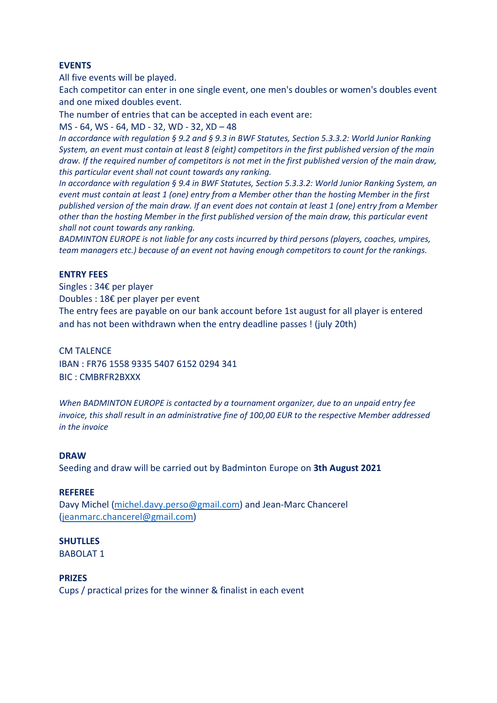# **EVENTS**

All five events will be played.

Each competitor can enter in one single event, one men's doubles or women's doubles event and one mixed doubles event.

The number of entries that can be accepted in each event are:

MS - 64, WS - 64, MD - 32, WD - 32, XD – 48

*In accordance with regulation § 9.2 and § 9.3 in BWF Statutes, Section 5.3.3.2: World Junior Ranking System, an event must contain at least 8 (eight) competitors in the first published version of the main draw. If the required number of competitors is not met in the first published version of the main draw, this particular event shall not count towards any ranking.*

*In accordance with regulation § 9.4 in BWF Statutes, Section 5.3.3.2: World Junior Ranking System, an event must contain at least 1 (one) entry from a Member other than the hosting Member in the first published version of the main draw. If an event does not contain at least 1 (one) entry from a Member other than the hosting Member in the first published version of the main draw, this particular event shall not count towards any ranking.*

*BADMINTON EUROPE is not liable for any costs incurred by third persons (players, coaches, umpires, team managers etc.) because of an event not having enough competitors to count for the rankings.*

# **ENTRY FEES**

Singles : 34€ per player Doubles : 18€ per player per event The entry fees are payable on our bank account before 1st august for all player is entered and has not been withdrawn when the entry deadline passes ! (july 20th)

## CM TALENCE

IBAN : FR76 1558 9335 5407 6152 0294 341 BIC : CMBRFR2BXXX

*When BADMINTON EUROPE is contacted by a tournament organizer, due to an unpaid entry fee invoice, this shall result in an administrative fine of 100,00 EUR to the respective Member addressed in the invoice*

#### **DRAW**

Seeding and draw will be carried out by Badminton Europe on **3th August 2021**

#### **REFEREE**

Davy Michel [\(michel.davy.perso@gmail.com\)](mailto:michel.davy.perso@gmail.com) and Jean-Marc Chancerel [\(jeanmarc.chancerel@gmail.com\)](mailto:jeanmarc.chancerel@gmail.com)

#### **SHUTLLES** BABOLAT 1

#### **PRIZES**

Cups / practical prizes for the winner & finalist in each event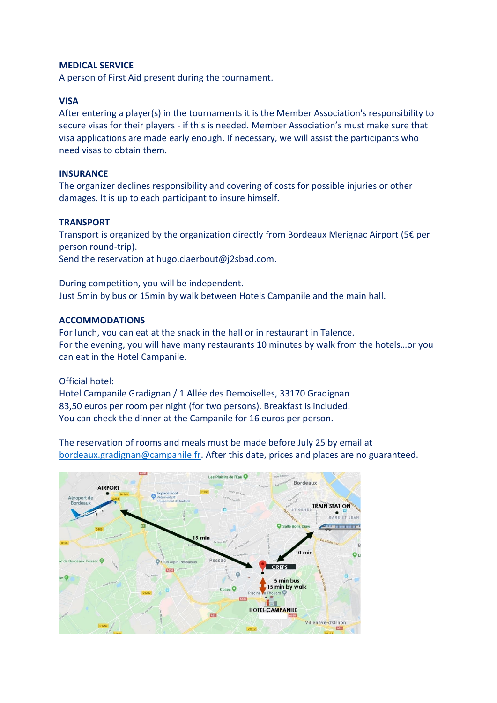### **MEDICAL SERVICE**

A person of First Aid present during the tournament.

# **VISA**

After entering a player(s) in the tournaments it is the Member Association's responsibility to secure visas for their players - if this is needed. Member Association's must make sure that visa applications are made early enough. If necessary, we will assist the participants who need visas to obtain them.

# **INSURANCE**

The organizer declines responsibility and covering of costs for possible injuries or other damages. It is up to each participant to insure himself.

# **TRANSPORT**

Transport is organized by the organization directly from Bordeaux Merignac Airport (5€ per person round-trip). Send the reservation at hugo.claerbout@j2sbad.com.

During competition, you will be independent. Just 5min by bus or 15min by walk between Hotels Campanile and the main hall.

# **ACCOMMODATIONS**

For lunch, you can eat at the snack in the hall or in restaurant in Talence. For the evening, you will have many restaurants 10 minutes by walk from the hotels…or you can eat in the Hotel Campanile.

Official hotel:

Hotel Campanile Gradignan / 1 Allée des Demoiselles, 33170 Gradignan 83,50 euros per room per night (for two persons). Breakfast is included. You can check the dinner at the Campanile for 16 euros per person.

The reservation of rooms and meals must be made before July 25 by email at [bordeaux.gradignan@campanile.fr.](mailto:bordeaux.gradignan@campanile.fr) After this date, prices and places are no guaranteed.